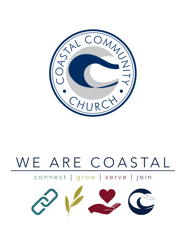

# WE ARE COASTAL

### connect | grow | serve | join

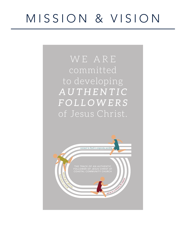## MISSION & VISION

### WE ARE committed to developing *AUTHENTIC FOLLOWERS* of Jesus Christ.

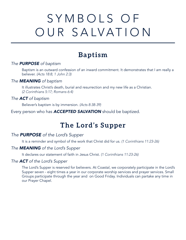## SYMBOLS OF OUR SALVATION

### **Baptism**

### *The PURPOSE of baptism*

Baptism is an outward confession of an inward commitment. It demonstrates that I am really a believer. *(Acts 18:8; 1 John 2:3)*

### *The MEANING of baptism*

It illustrates Christ's death, burial and resurrection and my new life as a Christian. *(2 Corinthians 5:17; Romans 6:4)*

### *The ACT of baptism*

Believer's baptism is by immersion. *(Acts 8:38-39)*

Every person who has *ACCEPTED SALVATION* should be baptized.

### **The Lord's Supper**

### *The PURPOSE of the Lord's Supper*

It is a reminder and symbol of the work that Christ did for us. *(1 Corinthians 11:23-26)*

### *The MEANING of the Lord's Supper*

It declares our statement of faith in Jesus Christ. *(1 Corinthians 11:23-26)*

### *The ACT of the Lord's Supper*

The Lord's Supper is reserved for believers. At Coastal, we corporately participate in the Lord's Supper seven - eight times a year in our corporate worship services and prayer services. Small Groups participate through the year and on Good Friday. Individuals can partake any time in our Prayer Chapel.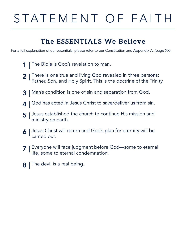## STATEMENT OF FAITH

### **The ESSENTIALS We Believe**

For a full explanation of our essentials, please refer to our Constitution and Appendix A. (page XX)

- **1** The Bible is God's revelation to man.
- There is one true and living God revealed in three persons: Father, Son, and Holy Spirit. This is the doctrine of the Trinity.  $2 \parallel$
- Man's condition is one of sin and separation from God. 3 |
- **4** | God has acted in Jesus Christ to save/deliver us from sin.
- Jesus established the church to continue His mission and ministry on earth. 5 |
- 6 | Jesus Christ will return and God's plan for eternity will be carried out.
- 7 | Everyone will face judgment before God—some to eternal life, some to eternal condemnation.
- The devil is a real being. 8 |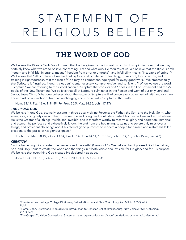## STATEMENT OF RELIGIOUS BELIEFS

### **THE WORD OF GOD**

We believe the Bible is God's Word to man that He has given by the inspiration of His Holy Spirit in order that we may certainly know what we are to believe concerning Him and what duty He requires of us. We believe that the Bible is both inerrant and infallible. In errancy means "freedom from error or untruths"1 and infallibility means "incapable of erring."<sup>2</sup> We believe that "all Scripture is breathed out by God and profitable for teaching, for reproof, for correction, and for training in righteousness, that the man of God may be competent, equipped for every good work." We embrace fully that Scripture is "inspired, inerrant, clear, sufficient, necessary, comprehensive, and sufficient."<sup>3</sup> When we use the word ''Scripture" we are referring to the closed canon of Scripture that consists of 39 books in the Old Testament and the 27 books of the New Testament. We believe that all of Scripture culminates in the Person and work of our only Lord and Savior, Jesus Christ. What one believes about the nature of Scripture will influence every other part of faith and doctrine. There must be an anchor of truth, an unchanging and eternal truth. Scripture is that truth.

(Num. 23:19; Pss. 12:6; 119: 89, 96; Prov. 30:5; Matt 24:35; John 17:17)

#### *THE TRIUNE GOD*

We believe in one God, eternally existing in three equally divine Persons: the Father, the Son, and the Holy Spirit, who know, love, and glorify one another. This one true and living God is infinitely perfect both in his love and in his holiness. He is the Creator of all things, visible and invisible, and is therefore worthy to receive all glory and adoration. Immortal and eternal, he perfectly and exhaustively knows the end from the beginning, sustains and sovereignly rules over all things, and providentially brings about his eternal good purposes to redeem a people for himself and restore his fallen creation, to the praise of his glorious grace.4

(1 John 5:7; Matt 28:19; 2 Cor. 13:14; Exod 3:14; John 14:11; 1 Cor. 8:6; John 1:14, 18; John 15:26; Gal. 4:6)

#### *CREATION*

"In the beginning, God created the heavens and the earth" (Genesis 1:1). We believe that it pleased God the Father, Son, and Holy Spirit to create the world and the things in it both.visible and invisible for His glory and for His purpose. We believe that everything God created He declared it as good.

(John 1:2-3; Heb. 1:2; Job 26: 13; Rom. 1:20; Col. 1:16; Gen. 1:31)

<sup>1</sup> The American Heritage College Dictionary, 3rd ed. (Boston and New York: Houghton Mifflin, 2000), 695. 2 Ibid.

<sup>3</sup> Frame, John. Systematic Theology: An Introduction to Christian Belief. (Phillipsburg, New Jersey: P&R Publishing, 2013). 599.

<sup>4</sup> The Gospel Coalition Confessional Statement: thegospelcoalition.org/abou/foundation-documents/confessional/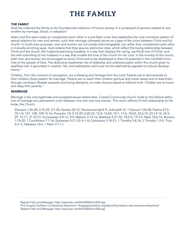### **THE FAMILY**

#### *THE FAMILY*

God has ordained the family as the foundational institution of human society. It is composed of persons related to one another by marriage, blood, or adoption.<sup>5</sup>

Adam and Eve were made to complement each other in a one-flesh union that establishes the only normative pattern of sexual relations for men and women, such that marriage ultimately serves as a type of the union between Christ and his church. In God's wise purposes, men and women are not simply interchangeable, but rather they complement each other in mutually enriching ways. God ordains that they assume distinctive roles, which reflect the loving relationship between Christ and the church, the husband exercising headship in a way that displays the caring, sacrificial love of Christ, and the wife submitting to her husband in a way that models the love of the church for her Lord. In the ministry of the church, both men and women are encouraged to serve Christ and to be developed to their full potential in the manifold ministries of the people of God. The distinctive leadership role of eldership and ordained pastor within the church given to qualified men is grounded in creation, fall, and redemption and must not be sidelined by appeals to cultural developments.<sup>6</sup>

Children, from the moment of conception, are a blessing and heritage from the Lord. Parents are to demonstrate to their children God's pattern for marriage. Parents are to teach their children spiritual and moral values and to lead them, through consistent lifestyle example and loving discipline, to make choices based on biblical truth. Children are to honor and obey their parents.<sup>7</sup>

#### *MARRIAGE*

Marriage is the only legitimate and accepted sexual relationship. Coastal Community Church holds to the biblical definition of marriage as a permanent union between one man and one woman. This union reflects Christ's relationship to His bride, the Church.

(Genesis 1:26-28; 2:15-25; 3:1-20; Exodus 20:12; Deuteronomy6:4-9; Joshua24:15; 1 Samuel 1:26-28; Psalms 51:5; 78:1-8; 127; 128; 139:13-16; Proverbs 1:8; 5:15-20; 6:20-22; 12:4; 13:24; 14:1; 17:6; 18:22; 22:6,15; 23:13-14; 24:3; 29: 15,17; 31:10-31; Ecclesiastes 4:9-12; 9:9; Malachi 2:14-16; Matthew 5:31-32; 18:2-5; 19:3-9; Mark 10:6-12; Romans 1:18-32; 1 Corinthians 7:1-16; Ephesians 5:21-33; 6:1-4; Colossians 3:18-21; 1 Timothy 5:8,14; 2 Timothy 1:3-5; Titus 2:3- 5; Hebrews 13:4; 1 Peter 3:1-7.)

5 Baptist Faith and Message: http://www.sbc.net/bfm2000/brm200.asp

- 6 The Gospel Coalition Confessional Statement: thegospelcoalition.org/about/foundation-documents/confessional/
- 7 Baptist Faith and Message: http://www.sbc.net/bfm2000/brm200.asp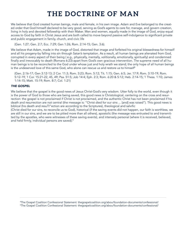### **THE DOCTRINE OF MAN**

We believe that God created human beings, male and female, in his own image. Adam and Eve belonged to the created order that God himself declared to be very good, serving as God's agents to care for, manage, and govern creation, living in holy and devoted fellowship with their Maker. Men and women, equally made in the image of God, enjoy equal access to God by faith in Christ Jesus and are both called to move beyond passive self-indulgence to significant private and public engagement in family, church, and civic life

(Gen. 1:27; Gen. 2:7; Ecc. 7:29; Gen 1:26; Rom. 2:14-15; Gen. 3:6).

We believe that Adam, made in the image of God, distorted that image and forfeited his original blessedness-for himself and all his progeny-by falling into sin through Satan's temptation. As a result, all human beings are alienated from God, corrupted in every aspect of their being ( e.g., physically, mentally, volitionally, emotionally, spiritually) and condemned finally and irrevocably to death (Romans 6:23)-apart from God's own gracious intervention. The supreme need of all human beings is to be reconciled to the God under whose just and holy wrath we stand; the only hope of all human beings is the undeserved love of this same God, who alone can rescue us and restore us to himself<sup>8</sup>

(Gen. 2:16-17; Gen 3:12-13; 2 Cor. 11:3; Rom. 3:23; Rom. 5:12; Tit. 1:15; Gen. 6:5; Jer. 17:9; Rom. 3:10-19; Rom. 5:12-19; 1 Cor. 15:21-22, 45, 49; Psa. 51:5; Job 14:4; Eph. 2:3; Rom. 6:20 & 5:12; Heb. 2:14-15; 1 Thess. 1:10; James 1:14-15; Matt. 15:19; Rom. 8:7; Col. 1:21)

#### *THE GOSPEL*

We believe that the gospel is the good news of Jesus Christ-God's very wisdom. Utter folly to the world, even though it is the power of God to those who are being saved, this good news is Christological, centering on the cross and resurrection: the gospel is not proclaimed if Christ is not proclaimed, and the authentic Christ has not been proclaimed if his death and resurrection are not central (the message is: "Christ died for our sins ... [and] was raised"). This good news is biblical (his death and resuTI"ection are according to the Scriptures), theological and salvific

(Christ died for our sins, to reconcile us to God), historical (if the saving events did not happen, our faith is worthless, we are still in our sins, and we are to be pitied more than all others), apostolic (the message was entrusted to and transmitted by the apostles, who were witnesses of these saving events), and intensely personal (where it is received, believed, and held firmly, individual persons are saved).<sup>9</sup>

8 The Gospel Coalition Confessional Statement: thegospelcoalition.org/abou/foundation-documents/confessional/ 9 The Gospel Coalition Confessional Statement: thegospelcoalition.org/abou/foundation-documents/confessional/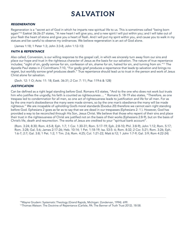### **SALVATION**

#### *REGENERATION*

Regeneration is a "secret act of God in which he imparts new spiritual life to us. This is sometimes called "being born again"<sup>10</sup> Ezekiel 36:26-27 states, "A new heart I will give you, and a new spirit I will put within you; and I will take out of your flesh the heart of stone and give you a heart of flesh. And I will put my spirit within you, and cause you to walk in my statues and be careful to observe my ordinances. We believe regeneration is an act of God alone.

(James 1:18; 1 Peter 1:3; John 3:3-8; John 1:12-13)

### *FAITH & REPENTANCE*

Also called, Conversion, is our willing response to the gospel call, in which we sincerely turn away from our sins and place our hope and trust in the righteous character of Jesus as the basis for our salvation. The nature of true repentance includes; "sight of sin, godly sorrow for sin, confession of sin, shame for sin, hatred for sin, and turning from sin."11 The Apostle Paul states in 2 Corinthians 7:10, "For godly grief produces a repentance that leads tp salvation and brings no regret, but worldly sorrow grief produces death." True repentance should lead us to trust in the person and work of Jesus Christ alone for salvation.

(Zech. 12: 1 O; Acts: 11: 18; Ezek. 36:31; 2 Cor. 7: 11; Psa: 119:6 & 128)

### *JUSTIFICATION*

Can be defined as a right legal standing before God. Romans 4:5 states, "And to the one who does not work but trusts him who justifies the ungodly, his faith is counted as righteousness ... " Romans 5: 18-19 also states, "Therefore, as one trespass led to condemnation for all men, so one act of righteousness leads to justification and life for all men. For as by the one man's disobedience the many were made sinners, so by the one man's obedience the many will be made righteous." We are incapable of upholding God's moral standards (Exodus 20) therefore we cannot earn right standing before God. Ephesians 2 goes as far as to say that we are dead in our trespasses (Ephesians 2: 1 ). However, God has provided a way to be reconciled through His Son, Jesus Christ. We believe that those who repent of their sins and place their trust in the righteousness of Christ are justified not on the basis of their works (Ephesians 2:8-9), but on the basis of Christ's life, death and resurrection. The works of Jesus are credited to your "spiritual bank account".

(Rom. 3:24; 8:30; Rom. 4:5-8; Eph. 1:7; 1 Cor. 1:30-31; Rom. 5:17-19; Eph. 2:8-10; Phil. 3:8-9); John 1:12; Rom. 5:17; Rom. 3:28; Gal. 5:6; James 2:17-26; Heb. 10:14; 1 Pet. 1:18-19; Isa. 53:5- 6; Rom. 8:32; 2 Cor. 5:21; Rom. 3:26; Eph. 1:6-7; 2:7; Gal. 3:8; 1 Pet. 1:2; 1 Tim. 2:6; Rom. 4:25; Col. 1:21-22; Matt 6:12; 1 John 1:7-9; Gal. 3:9; Rom 4:22-24)

10Wayne Grudem: Systematic Theology (Grand Rapids, Michigan: Zondervan, 1994). 699.

<sup>11</sup>Thomas Watson: The Doctrine of Repentance (Carlisle, PA: The Banner of Truth Trust 2012). 18-58.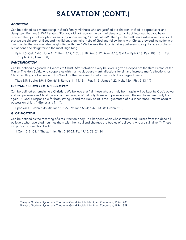### **SALVATION (CONT.)**

#### *ADOPTION*

Can be defined as a membership in God's family. All those who are justified are children of God- adopted sons and daughters. Romans 8:15-17 states, "For you did not receive the spirit of slavery to fall back into fear, but you have received the Spirit of adoption as sons, by whom we cry, "Abba! Father!" The Spirit himself bears witness with our spirit that we are children of God, and if children, then heirs- heirs of God and fellow heirs with Christ, provided we suffer with him in order that we may also be glorified with him." We believe that God is calling believers to stop living as orphans, but as sons and daughters to the most High King

(Eph. 1:5; Gal. 4:4-5; John 1:12; Rom 8:17; 2 Cor. 6:18; Rev. 3:12; Rom: 8:15; Gal 4:6; Eph 2:18; Psa. 103: 13; 1 Pet. 5:7; Eph. 4:30; Lam. 3:31).

#### *SANCTIFICATION*

Can be defined as growth in likeness to Christ. After salvation every believer is given a deposit of the third Person of the Trinity- The Holy Spirit, who cooperates with man to decrease man's affections for sin and increase man's affections for Christ resulting in obedience to His Word for the purpose of conforming us to the image of Jesus.

(Titus 3:5; 1 John 3:9; 1 Cor. 6:11; Rom. 6:11-14,18; 1 Pet. 1:15; James 1:22; Heb. 12:4; Phil. 3:13-14)

#### *ETERNAL SECURITY OF THE BELIEVER*

Can be defined as remaining a Christian. We believe that "all those who are truly born again will be kept by God's power and will persevere as Christ the end of their lives, ana'that only those who persevere until the end have been truly born again."<sup>12</sup> God is responsible for both saving us and the Holy Spirit is the "guarantee of our inheritance until we acquire possession of it ... " (Ephesians 1: 14).

(Ephesians 1; John 6:38-40; John 10: 27-29; John 5:24; 6:47; 10:28; 1 John 5:13)

#### *GLORIFICATION*

Can be defined as the receiving of a resurrection body. This happens when Christ returns and "raises from the dead all believers who have died, reunites them with their soul and changes the bodies of believers who are still alive."<sup>13</sup> These are perfect resurrection bodies.

(1 Cor. 15:51-52; 1 Thess. 4:16; Phil. 3:20-21; Ps. 49:15; 73: 24-24

12Wayne Grudem: Systematic Theology (Grand Rapids, Michigan: Zondervan, 1994). 788.

<sup>13</sup>Wayne Grudem, Systematic Theology (Grand Rapids, Michigan: Zondervan, 1994). 829.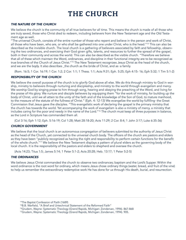### **THE CHURCH**

### *THE NATURE OF THE CHURCH*

We believe the church is the community of all true believers for all time. This means the church is made of all those who are truly saved, those who Christ died to redeem, including believers from the New Testament age and the Old Testament age as well.

"The universal Church, consists of the entire number of those who repent and believe in the person and work of Christ, all those who have been, who are, or who shall be gathered into one under Christ, who is the head."<sup>14</sup> This can also be described as the invisible church. The local church is a gathering of believers associated by faith and fellowship, observing the two ordinances, and exercising their God given gifts, talents, and resources to further the spread of the gospel, both in their community and across the world. This can also be described as the visible church. "Therefore we believe that all of these which maintain the Word, ordinances, and discipline in their functional integrity are to be recognized as true branches of the Church of Jesus Christ."<sup>15</sup> The New Testament recognizes Jesus Christ as the head of the church, and we are the bqdy. It also describes \_the church as the bride of Christ, and as  $\cdot$ a family.

(Rom. 16:5; 1 Cor. 16:19; 1 Cor. 1:2; 2 Cor. 1:1; 1 Thess. 1:1; Acts 9:31; Eph. 5:25; Eph 4:15- 16; Eph 5:32; 1 Tim 5:1-2)

### *RESPONSIBILITY OF THE CHURCH*

We believe the overall purpose of the church is to glorify God above all else. We do this through ministry to God in worship, ministry to believers through nurturing and discipleship, and ministry to the world through evangelism and mercy. We worship God by singing praise to him through song, hearing and obeying the preaching of the Word, and living for the praise of His glory. We nurture and disciple believers by equipping them "for the work of ministry, for building up the body of Christ, until we all attain to the unity of the faith and of the knowledge of the Son of God, to mature manhood, to the measure of the statute of the fullness of Christ." (Eph. 4: 12-13) We evangelize the world by fulfilling· the Great Commission that Jesus gave the disciples. "This evangelistic work of declaring the gospel is the primary ministry that the church has towards the world. Yet accompanying the work of evangelism is also a ministry of mercy, a ministry that includes caring for the poor and needy in the name of the Lord."<sup>16</sup> The church must keep all three purposes in balance, as the Lord in Scripture has commanded them all.

(Col 3:16; Eph 1:12; Eph. 5:16-19; Col 1:28; Matt 28:18-20; Acts 11:29; 2 Cor. 8:4; 1 John 3:17; Luke 6:35-36)

### *CHURCH GOVERNMENT*

We believe that the local church is an autonomous congregation of believers submitted to the authority of Jesus Christ as the head of the Church, yet connected to the universal church body. The officers of the church are pastors and elders as they have been "publicly recognized as having the right and responsibility to perform certain functions for the benefit of the whole church."<sup>17</sup> We believe the New Testament displays a pattern of plural elders as the governing body of the local church. It is the responsibility of the pastors and elders to shepherd and oversee the church.

(Acts 14:23; Titus 1:5; James 5:14; 1 Peter 5:1-2; Acts 20:28; Heb. 13:17; 1 Peter 5:2-5)

### *THE ORDINANCES*

We believe Jesus Christ commanded the church to observe two ordinances; baptism and the Lord's Supper. Within the word ordinance is the root word for ordinary, which means Jesus chose ordinary things (water, bread, and fruit of the vine) to help us remember the extraordinary redemptive work He has done for us through His death, burial, and resurrection.

<sup>14</sup>The Baptist Confession of Paith (1689)

<sup>15</sup>B.B. Warfield, "A Brief and Untechnical Statement of the Reformed Faith"

<sup>16</sup>Grudem, Wayne: Systematic Theology (Grand Rapids, Michigan: Zondervan, 1994). 867-868

<sup>17</sup>Grudem, Wayne: Systematic Theology (Grand Rapids, Michigan: Zondervan, 1994). 905.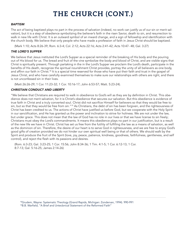### **THE CHURCH (CONT.)**

#### *BAPTISM*

The act of being baptized plays no part in the process of salvation (indeed, no work can justify us of our sin or merit salvation), but it is a step of obedience symbolizing the believer's faith in the risen Savior, death to sin, and resurrection to walk in new life with Christ. It is an outward symbol of an inward change, and a sign of fellowship and identification with the church body. We believe that only people who have made a profession of faith in Jesus Christ should be baptized.

(Mark 1:10; Acts 8:26-39; Rom. 6:3-4; Col. 2:12; Acts 22:16; Acts 2:41-42; Acts 10:47- 48; Gal. 3:27)

### *THE LORD'S SUPPER*

We believe that Jesus instituted the Lord's Supper as a special reminder of the breaking of His body and the pouring out of His blood for us. The bread and fruit of the vine symbolize the body and blood of Christ, and are visible signs that Christ is spiritually present. Through partaking in the in the Lord's Supper we proclaim the Lord's death, participate in the benefits of His death, recognize the spiritual nourishment Christ provides, portray the unity of all believers as one body, and affinn our faith in Christ.<sup>18</sup> It is a special time reserved for those who have put their faith and trust in the gospel of Jesus Christ, and who have carefully examined themselves to make sure our relationships with others are right, and there is not unconfessed sin in their lives.

(Matt 26:26-29; 1 Cor. 11:23-32; 1 Cor. 10:16-17; John 6:53-57; Matt. 5:23-24).

### *CHRISTIAN CONDUCT AND LIBERTY*

"We believe that Christians are required to walk in obedience to God's will as they are by definition in Christ. This obedience does not merit salvation, for it is Christ's obedience that secures our salvation. But this obedience is evidence of true faith in Christ and a truly converted soul. Christ did not sacrifice Himself for believers so that they would be free to sin, but so that they would be free from sin."<sup>19</sup> As Christians, the debt of sin has been forgiven, and the righteousness of Christ has been credited to us. The actions of Christ have justified us before God, but we cooperate with the Holy Spirit in our sanctification, and He has granted us the power and inclination to strive for holiness. We are not under the law, but under grace. This does not mean that the law of God has no role in our lives or that we have license to sin freely; Christians must obey the Lord's commandments. It means this obedience plays no part in our justification, but is a result of the new life we have in Christ. Christ has set us free from the futility of fulfilling the law as a means of salvation, as well as the dominion of sin. Therefore, the desire of our heart is to serve God in righteousness, and we are free to enjoy God's good gifts of creation provided we do not hinder our own spiritual well being or that of others. We should walk by the Spirit and produce the fruit of the Spirit (love, joy, peace, patience, kindness, goodness, faithfulness, gentleness, and self control), and reject the flesh with its passions and desires.

(Rom. 6:3-23; Gal. 3:23-25; 1 Cor. 15:56; John 8:34-36; 1 Tim. 4:1-5; 1 Cor. 6:12-13; 1 Cor. 8:7-13; Gal. 5:16-25; James 2:14-26)

18Grudem, Wayne: Systematic Theology (Grand Rapids, Michigan: Zondervan, 1994). 990-991 19B.B. Warfield, "A Brief and Untecbnical Statement of the Reformed Faith"